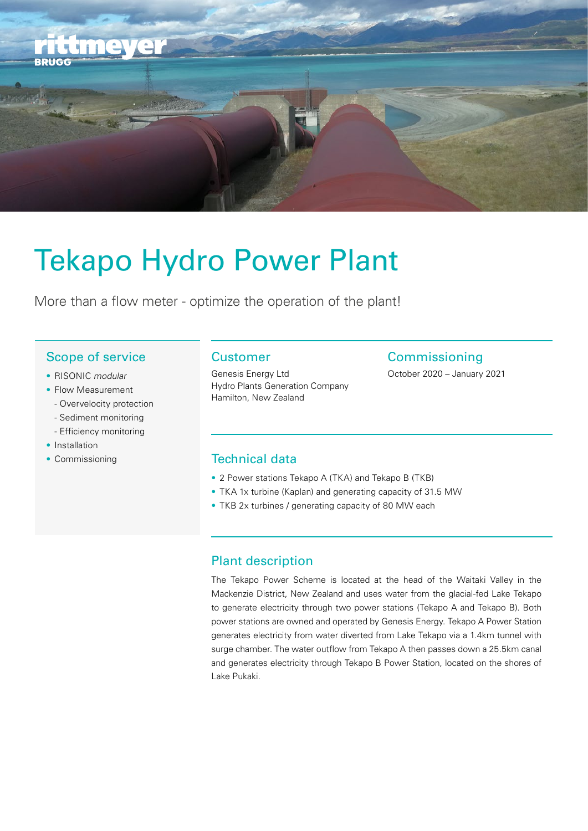

# Tekapo Hydro Power Plant

More than a flow meter - optimize the operation of the plant!

## Scope of service

- RISONIC modular
- Flow Measurement
- Overvelocity protection
- Sediment monitoring
- Efficiency monitoring
- Installation
- 

## Customer

Genesis Energy Ltd Hydro Plants Generation Company Hamilton, New Zealand

## **Commissioning**

October 2020 – January 2021

### • Commissioning Technical data

- 2 Power stations Tekapo A (TKA) and Tekapo B (TKB)
- TKA 1x turbine (Kaplan) and generating capacity of 31.5 MW
- TKB 2x turbines / generating capacity of 80 MW each

### Plant description

The Tekapo Power Scheme is located at the head of the Waitaki Valley in the Mackenzie District, New Zealand and uses water from the glacial-fed Lake Tekapo to generate electricity through two power stations (Tekapo A and Tekapo B). Both power stations are owned and operated by Genesis Energy. Tekapo A Power Station generates electricity from water diverted from Lake Tekapo via a 1.4km tunnel with surge chamber. The water outflow from Tekapo A then passes down a 25.5km canal and generates electricity through Tekapo B Power Station, located on the shores of Lake Pukaki.